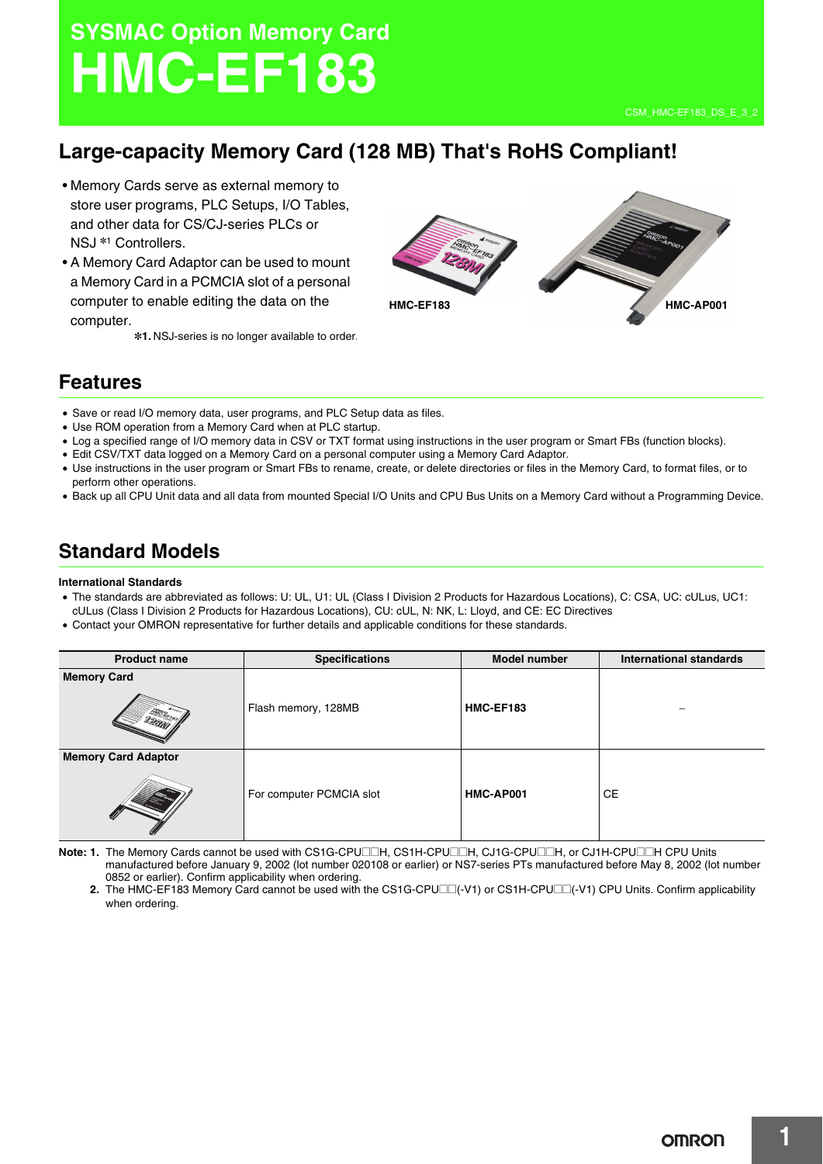# **SYSMAC Option Memory Card HMC-EF183**

# **Large-capacity Memory Card (128 MB) That's RoHS Compliant!**

- Memory Cards serve as external memory to store user programs, PLC Setups, I/O Tables, and other data for CS/CJ-series PLCs or NSJ \*1 Controllers.
- A Memory Card Adaptor can be used to mount a Memory Card in a PCMCIA slot of a personal computer to enable editing the data on the computer.

\*1. NSJ-series is no longer available to order.



## **Features**

- Save or read I/O memory data, user programs, and PLC Setup data as files.
- Use ROM operation from a Memory Card when at PLC startup.
- Log a specified range of I/O memory data in CSV or TXT format using instructions in the user program or Smart FBs (function blocks).
- Edit CSV/TXT data logged on a Memory Card on a personal computer using a Memory Card Adaptor.
- Use instructions in the user program or Smart FBs to rename, create, or delete directories or files in the Memory Card, to format files, or to perform other operations.
- Back up all CPU Unit data and all data from mounted Special I/O Units and CPU Bus Units on a Memory Card without a Programming Device.

# **Standard Models**

#### **International Standards**

- The standards are abbreviated as follows: U: UL, U1: UL (Class I Division 2 Products for Hazardous Locations), C: CSA, UC: cULus, UC1:
- cULus (Class I Division 2 Products for Hazardous Locations), CU: cUL, N: NK, L: Lloyd, and CE: EC Directives
- Contact your OMRON representative for further details and applicable conditions for these standards.

| <b>Product name</b>        | <b>Specifications</b>    | <b>Model number</b> | <b>International standards</b> |
|----------------------------|--------------------------|---------------------|--------------------------------|
| <b>Memory Card</b>         | Flash memory, 128MB      | HMC-EF183           |                                |
| <b>Memory Card Adaptor</b> | For computer PCMCIA slot | HMC-AP001           | <b>CE</b>                      |

**Note: 1.** The Memory Cards cannot be used with CS1G-CPU□□H, CS1H-CPU□□H, CJ1G-CPU□□H, or CJ1H-CPU□□H CPU Units manufactured before January 9, 2002 (lot number 020108 or earlier) or NS7-series PTs manufactured before May 8, 2002 (lot number 0852 or earlier). Confirm applicability when ordering.

**2.** The HMC-EF183 Memory Card cannot be used with the CS1G-CPU $\square$ (-V1) or CS1H-CPU $\square$ (-V1) CPU Units. Confirm applicability when ordering.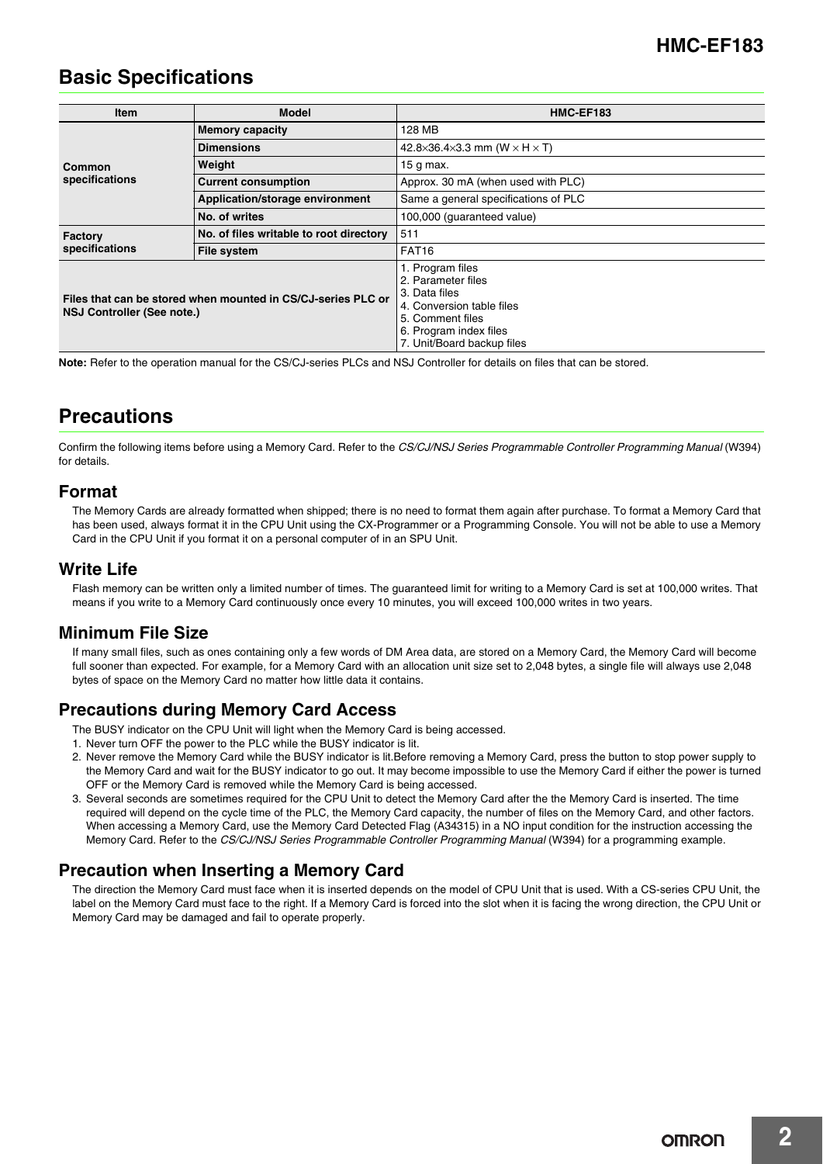# **Basic Specifications**

| <b>Item</b>                                                                                | <b>Model</b>                            | HMC-EF183                                                                                                                                                        |  |
|--------------------------------------------------------------------------------------------|-----------------------------------------|------------------------------------------------------------------------------------------------------------------------------------------------------------------|--|
| Common<br>specifications                                                                   | <b>Memory capacity</b>                  | 128 MB                                                                                                                                                           |  |
|                                                                                            | <b>Dimensions</b>                       | 42.8×36.4×3.3 mm (W $\times$ H $\times$ T)                                                                                                                       |  |
|                                                                                            | Weight                                  | 15 g max.                                                                                                                                                        |  |
|                                                                                            | <b>Current consumption</b>              | Approx. 30 mA (when used with PLC)                                                                                                                               |  |
|                                                                                            | Application/storage environment         | Same a general specifications of PLC                                                                                                                             |  |
|                                                                                            | No. of writes                           | 100,000 (quaranteed value)                                                                                                                                       |  |
| Factory<br>specifications                                                                  | No. of files writable to root directory | 511                                                                                                                                                              |  |
|                                                                                            | <b>File system</b>                      | FAT <sub>16</sub>                                                                                                                                                |  |
| Files that can be stored when mounted in CS/CJ-series PLC or<br>NSJ Controller (See note.) |                                         | 1. Program files<br>2. Parameter files<br>3. Data files<br>4. Conversion table files<br>5. Comment files<br>6. Program index files<br>7. Unit/Board backup files |  |

**Note:** Refer to the operation manual for the CS/CJ-series PLCs and NSJ Controller for details on files that can be stored.

## **Precautions**

Confirm the following items before using a Memory Card. Refer to the *CS/CJ/NSJ Series Programmable Controller Programming Manual* (W394) for details.

## **Format**

The Memory Cards are already formatted when shipped; there is no need to format them again after purchase. To format a Memory Card that has been used, always format it in the CPU Unit using the CX-Programmer or a Programming Console. You will not be able to use a Memory Card in the CPU Unit if you format it on a personal computer of in an SPU Unit.

## **Write Life**

Flash memory can be written only a limited number of times. The guaranteed limit for writing to a Memory Card is set at 100,000 writes. That means if you write to a Memory Card continuously once every 10 minutes, you will exceed 100,000 writes in two years.

## **Minimum File Size**

If many small files, such as ones containing only a few words of DM Area data, are stored on a Memory Card, the Memory Card will become full sooner than expected. For example, for a Memory Card with an allocation unit size set to 2,048 bytes, a single file will always use 2,048 bytes of space on the Memory Card no matter how little data it contains.

## **Precautions during Memory Card Access**

The BUSY indicator on the CPU Unit will light when the Memory Card is being accessed.

- 1. Never turn OFF the power to the PLC while the BUSY indicator is lit.
- 2. Never remove the Memory Card while the BUSY indicator is lit.Before removing a Memory Card, press the button to stop power supply to the Memory Card and wait for the BUSY indicator to go out. It may become impossible to use the Memory Card if either the power is turned OFF or the Memory Card is removed while the Memory Card is being accessed.
- 3. Several seconds are sometimes required for the CPU Unit to detect the Memory Card after the the Memory Card is inserted. The time required will depend on the cycle time of the PLC, the Memory Card capacity, the number of files on the Memory Card, and other factors. When accessing a Memory Card, use the Memory Card Detected Flag (A34315) in a NO input condition for the instruction accessing the Memory Card. Refer to the *CS/CJ/NSJ Series Programmable Controller Programming Manual* (W394) for a programming example.

## **Precaution when Inserting a Memory Card**

The direction the Memory Card must face when it is inserted depends on the model of CPU Unit that is used. With a CS-series CPU Unit, the label on the Memory Card must face to the right. If a Memory Card is forced into the slot when it is facing the wrong direction, the CPU Unit or Memory Card may be damaged and fail to operate properly.